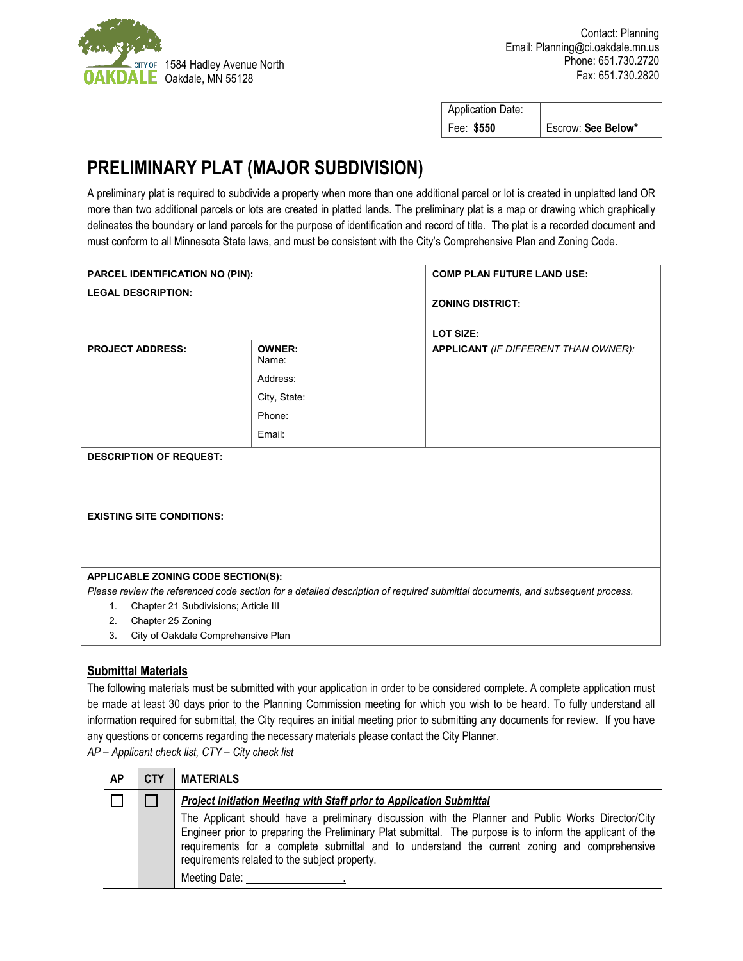

| <b>Application Date:</b> |                    |
|--------------------------|--------------------|
| Fee: \$550               | Escrow: See Below* |

## **PRELIMINARY PLAT (MAJOR SUBDIVISION)**

A preliminary plat is required to subdivide a property when more than one additional parcel or lot is created in unplatted land OR more than two additional parcels or lots are created in platted lands. The preliminary plat is a map or drawing which graphically delineates the boundary or land parcels for the purpose of identification and record of title. The plat is a recorded document and must conform to all Minnesota State laws, and must be consistent with the City's Comprehensive Plan and Zoning Code.

| PARCEL IDENTIFICATION NO (PIN):                                                                                               |                        | <b>COMP PLAN FUTURE LAND USE:</b>    |  |  |  |
|-------------------------------------------------------------------------------------------------------------------------------|------------------------|--------------------------------------|--|--|--|
| <b>LEGAL DESCRIPTION:</b>                                                                                                     |                        | <b>ZONING DISTRICT:</b>              |  |  |  |
|                                                                                                                               |                        |                                      |  |  |  |
|                                                                                                                               |                        | <b>LOT SIZE:</b>                     |  |  |  |
| <b>PROJECT ADDRESS:</b>                                                                                                       | <b>OWNER:</b><br>Name: | APPLICANT (IF DIFFERENT THAN OWNER): |  |  |  |
|                                                                                                                               | Address:               |                                      |  |  |  |
|                                                                                                                               | City, State:           |                                      |  |  |  |
|                                                                                                                               | Phone:                 |                                      |  |  |  |
|                                                                                                                               | Email:                 |                                      |  |  |  |
| <b>DESCRIPTION OF REQUEST:</b>                                                                                                |                        |                                      |  |  |  |
|                                                                                                                               |                        |                                      |  |  |  |
|                                                                                                                               |                        |                                      |  |  |  |
| <b>EXISTING SITE CONDITIONS:</b>                                                                                              |                        |                                      |  |  |  |
|                                                                                                                               |                        |                                      |  |  |  |
|                                                                                                                               |                        |                                      |  |  |  |
| APPLICABLE ZONING CODE SECTION(S):                                                                                            |                        |                                      |  |  |  |
| Please review the referenced code section for a detailed description of required submittal documents, and subsequent process. |                        |                                      |  |  |  |
| Chapter 21 Subdivisions; Article III<br>1.                                                                                    |                        |                                      |  |  |  |
| Chapter 25 Zoning<br>2.                                                                                                       |                        |                                      |  |  |  |
| City of Oakdale Comprehensive Plan<br>3.                                                                                      |                        |                                      |  |  |  |

## **Submittal Materials**

The following materials must be submitted with your application in order to be considered complete. A complete application must be made at least 30 days prior to the Planning Commission meeting for which you wish to be heard. To fully understand all information required for submittal, the City requires an initial meeting prior to submitting any documents for review. If you have any questions or concerns regarding the necessary materials please contact the City Planner.

*AP – Applicant check list, CTY – City check list*

| AP | <b>CTY</b> | <b>MATERIALS</b>                                                                                                                                                                                                                                                                                                                                                                  |  |  |
|----|------------|-----------------------------------------------------------------------------------------------------------------------------------------------------------------------------------------------------------------------------------------------------------------------------------------------------------------------------------------------------------------------------------|--|--|
|    |            | <b>Project Initiation Meeting with Staff prior to Application Submittal</b>                                                                                                                                                                                                                                                                                                       |  |  |
|    |            | The Applicant should have a preliminary discussion with the Planner and Public Works Director/City<br>Engineer prior to preparing the Preliminary Plat submittal. The purpose is to inform the applicant of the<br>requirements for a complete submittal and to understand the current zoning and comprehensive<br>requirements related to the subject property.<br>Meeting Date: |  |  |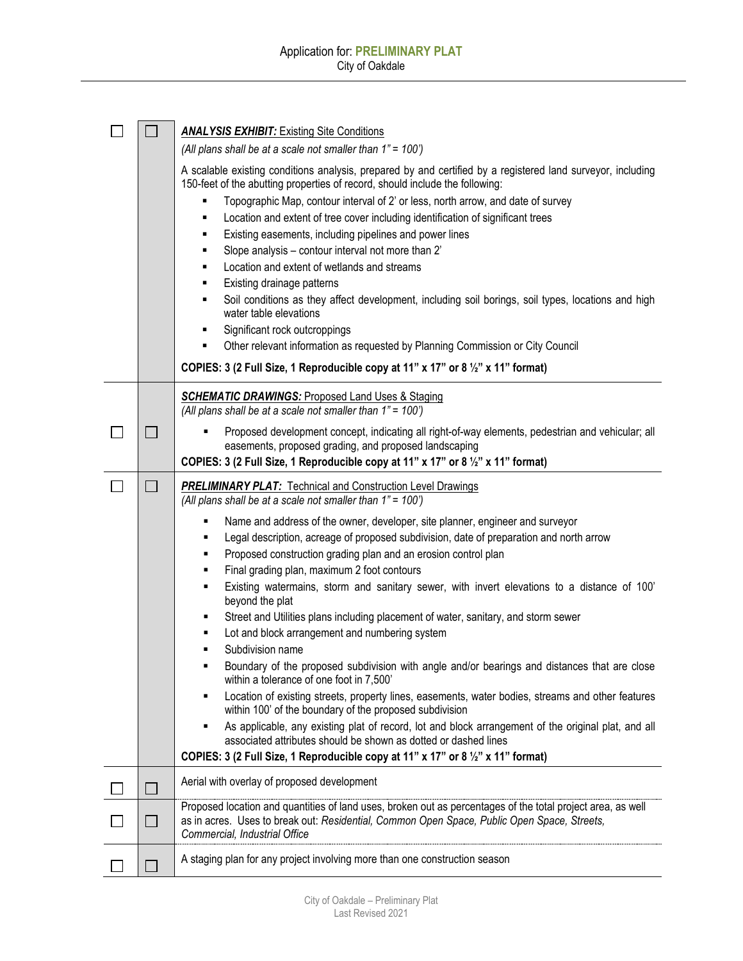| <b>ANALYSIS EXHIBIT:</b> Existing Site Conditions<br>(All plans shall be at a scale not smaller than 1" = 100') |                          |                                                                                                                                                                        |  |
|-----------------------------------------------------------------------------------------------------------------|--------------------------|------------------------------------------------------------------------------------------------------------------------------------------------------------------------|--|
|                                                                                                                 |                          | A scalable existing conditions analysis, prepared by and certified by a registered land surveyor, including                                                            |  |
|                                                                                                                 |                          | 150-feet of the abutting properties of record, should include the following:<br>Topographic Map, contour interval of 2' or less, north arrow, and date of survey       |  |
|                                                                                                                 |                          | Location and extent of tree cover including identification of significant trees<br>٠                                                                                   |  |
|                                                                                                                 |                          | Existing easements, including pipelines and power lines<br>٠                                                                                                           |  |
|                                                                                                                 |                          | Slope analysis - contour interval not more than 2'<br>٠                                                                                                                |  |
|                                                                                                                 |                          | Location and extent of wetlands and streams<br>٠                                                                                                                       |  |
|                                                                                                                 |                          | Existing drainage patterns                                                                                                                                             |  |
|                                                                                                                 |                          | Soil conditions as they affect development, including soil borings, soil types, locations and high<br>٠<br>water table elevations                                      |  |
|                                                                                                                 |                          | Significant rock outcroppings<br>٠                                                                                                                                     |  |
|                                                                                                                 |                          | Other relevant information as requested by Planning Commission or City Council<br>٠                                                                                    |  |
|                                                                                                                 |                          | COPIES: 3 (2 Full Size, 1 Reproducible copy at 11" x 17" or 8 1/2" x 11" format)                                                                                       |  |
|                                                                                                                 |                          | <b>SCHEMATIC DRAWINGS: Proposed Land Uses &amp; Staging</b>                                                                                                            |  |
|                                                                                                                 |                          | (All plans shall be at a scale not smaller than 1" = 100')                                                                                                             |  |
|                                                                                                                 | $\overline{\phantom{a}}$ | Proposed development concept, indicating all right-of-way elements, pedestrian and vehicular; all                                                                      |  |
|                                                                                                                 |                          | easements, proposed grading, and proposed landscaping<br>COPIES: 3 (2 Full Size, 1 Reproducible copy at 11" x 17" or 8 1/2" x 11" format)                              |  |
|                                                                                                                 |                          |                                                                                                                                                                        |  |
|                                                                                                                 |                          | <b>PRELIMINARY PLAT:</b> Technical and Construction Level Drawings<br>(All plans shall be at a scale not smaller than 1" = 100')                                       |  |
|                                                                                                                 |                          | Name and address of the owner, developer, site planner, engineer and surveyor                                                                                          |  |
|                                                                                                                 |                          | Legal description, acreage of proposed subdivision, date of preparation and north arrow<br>٠                                                                           |  |
|                                                                                                                 |                          | Proposed construction grading plan and an erosion control plan<br>٠                                                                                                    |  |
|                                                                                                                 |                          | Final grading plan, maximum 2 foot contours<br>٠<br>٠                                                                                                                  |  |
|                                                                                                                 |                          | Existing watermains, storm and sanitary sewer, with invert elevations to a distance of 100'<br>beyond the plat                                                         |  |
|                                                                                                                 |                          | Street and Utilities plans including placement of water, sanitary, and storm sewer                                                                                     |  |
|                                                                                                                 |                          | Lot and block arrangement and numbering system                                                                                                                         |  |
|                                                                                                                 |                          | Subdivision name                                                                                                                                                       |  |
|                                                                                                                 |                          | Boundary of the proposed subdivision with angle and/or bearings and distances that are close<br>٠<br>within a tolerance of one foot in 7,500'                          |  |
|                                                                                                                 |                          | Location of existing streets, property lines, easements, water bodies, streams and other features                                                                      |  |
|                                                                                                                 |                          | within 100' of the boundary of the proposed subdivision                                                                                                                |  |
|                                                                                                                 |                          | As applicable, any existing plat of record, lot and block arrangement of the original plat, and all<br>associated attributes should be shown as dotted or dashed lines |  |
|                                                                                                                 |                          | COPIES: 3 (2 Full Size, 1 Reproducible copy at 11" x 17" or 8 1/2" x 11" format)                                                                                       |  |
|                                                                                                                 |                          | Aerial with overlay of proposed development                                                                                                                            |  |
|                                                                                                                 |                          | Proposed location and quantities of land uses, broken out as percentages of the total project area, as well                                                            |  |
|                                                                                                                 |                          | as in acres. Uses to break out: Residential, Common Open Space, Public Open Space, Streets,<br>Commercial, Industrial Office                                           |  |
|                                                                                                                 |                          |                                                                                                                                                                        |  |
|                                                                                                                 |                          | A staging plan for any project involving more than one construction season                                                                                             |  |